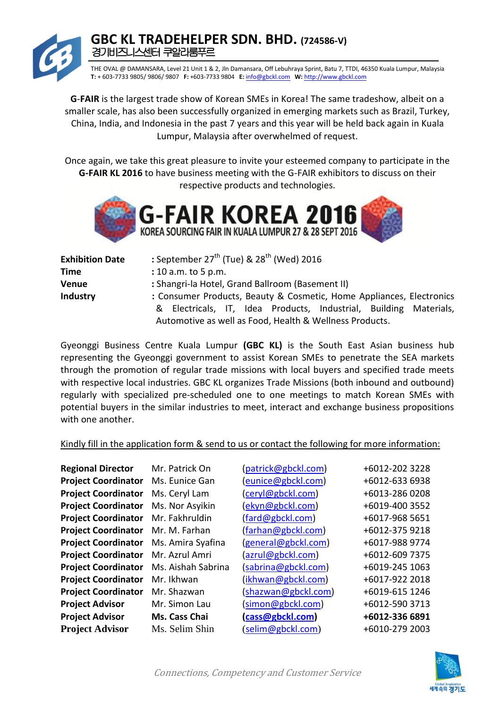THE OVAL @ DAMANSARA, Level 21 Unit 1 & 2, Jln Damansara, Off Lebuhraya Sprint, Batu 7, TTDI, 46350 Kuala Lumpur, Malaysia **T:** + 603-7733 9805/ 9806/ 9807 **F:** +603-7733 9804 **E:** info@gbckl.com **W:** http://www.gbckl.com

**G**-**FAIR** is the largest trade show of Korean SMEs in Korea! The same tradeshow, albeit on a smaller scale, has also been successfully organized in emerging markets such as Brazil, Turkey, China, India, and Indonesia in the past 7 years and this year will be held back again in Kuala Lumpur, Malaysia after overwhelmed of request.

Once again, we take this great pleasure to invite your esteemed company to participate in the **G-FAIR KL 2016** to have business meeting with the G-FAIR exhibitors to discuss on their respective products and technologies.



| <b>Exhibition Date</b> | : September 27 <sup>th</sup> (Tue) & 28 <sup>th</sup> (Wed) 2016     |  |  |
|------------------------|----------------------------------------------------------------------|--|--|
| <b>Time</b>            | : 10 a.m. to 5 p.m.                                                  |  |  |
| <b>Venue</b>           | : Shangri-la Hotel, Grand Ballroom (Basement II)                     |  |  |
| Industry               | : Consumer Products, Beauty & Cosmetic, Home Appliances, Electronics |  |  |
|                        | & Electricals, IT, Idea Products, Industrial, Building Materials,    |  |  |
|                        | Automotive as well as Food, Health & Wellness Products.              |  |  |

Gyeonggi Business Centre Kuala Lumpur **(GBC KL)** is the South East Asian business hub representing the Gyeonggi government to assist Korean SMEs to penetrate the SEA markets through the promotion of regular trade missions with local buyers and specified trade meets with respective local industries. GBC KL organizes Trade Missions (both inbound and outbound) regularly with specialized pre-scheduled one to one meetings to match Korean SMEs with potential buyers in the similar industries to meet, interact and exchange business propositions with one another.

#### Kindly fill in the application form & send to us or contact the following for more information:

| <b>Regional Director</b>   | Mr. Patrick On     | (patrick@gbckl.com) | +6012-202 3228 |
|----------------------------|--------------------|---------------------|----------------|
| <b>Project Coordinator</b> | Ms. Eunice Gan     | (eunice@gbckl.com)  | +6012-633 6938 |
| <b>Project Coordinator</b> | Ms. Ceryl Lam      | (ceryl@gbckl.com)   | +6013-286 0208 |
| <b>Project Coordinator</b> | Ms. Nor Asyikin    | (ekyn@gbckl.com)    | +6019-400 3552 |
| <b>Project Coordinator</b> | Mr. Fakhruldin     | (fard@gbckl.com)    | +6017-968 5651 |
| <b>Project Coordinator</b> | Mr. M. Farhan      | (farhan@gbckl.com)  | +6012-375 9218 |
| <b>Project Coordinator</b> | Ms. Amira Syafina  | (general@gbckl.com) | +6017-988 9774 |
| <b>Project Coordinator</b> | Mr. Azrul Amri     | (azrul@gbckl.com)   | +6012-609 7375 |
| <b>Project Coordinator</b> | Ms. Aishah Sabrina | (sabrina@gbckl.com) | +6019-245 1063 |
| <b>Project Coordinator</b> | Mr. Ikhwan         | (ikhwan@gbckl.com)  | +6017-922 2018 |
| <b>Project Coordinator</b> | Mr. Shazwan        | (shazwan@gbckl.com) | +6019-615 1246 |
| <b>Project Advisor</b>     | Mr. Simon Lau      | (simon@gbckl.com)   | +6012-590 3713 |
| <b>Project Advisor</b>     | Ms. Cass Chai      | cass@gbckl.com)     | +6012-336 6891 |
| <b>Project Advisor</b>     | Ms. Selim Shin     | (selim@gbckl.com)   | +6010-279 2003 |

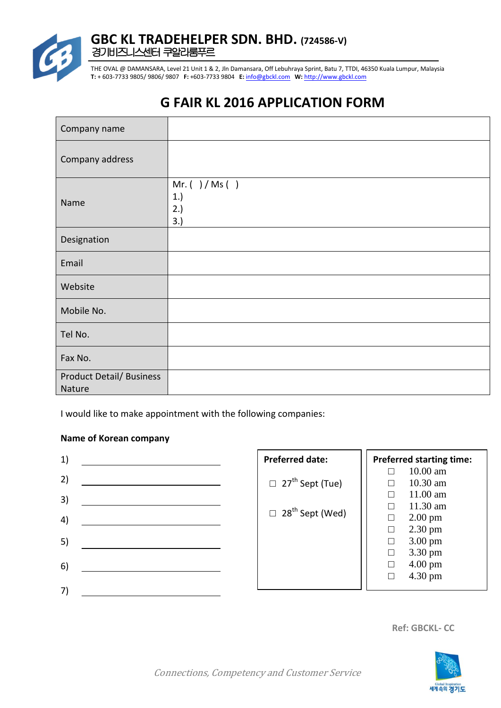

THE OVAL @ DAMANSARA, Level 21 Unit 1 & 2, Jln Damansara, Off Lebuhraya Sprint, Batu 7, TTDI, 46350 Kuala Lumpur, Malaysia **T:** + 603-7733 9805/ 9806/ 9807 **F:** +603-7733 9804 **E:** info@gbckl.com **W:** http://www.gbckl.com

# **G FAIR KL 2016 APPLICATION FORM**

| Company name                              |                                         |
|-------------------------------------------|-----------------------------------------|
| Company address                           |                                         |
| Name                                      | $Mr.$ ( ) / Ms ( )<br>1.)<br>2.)<br>3.) |
| Designation                               |                                         |
| Email                                     |                                         |
| Website                                   |                                         |
| Mobile No.                                |                                         |
| Tel No.                                   |                                         |
| Fax No.                                   |                                         |
| <b>Product Detail/ Business</b><br>Nature |                                         |

I would like to make appointment with the following companies:

#### **Name of Korean company**

| 1) | <b>Preferred date:</b>             |        | <b>Preferred starting time:</b> |
|----|------------------------------------|--------|---------------------------------|
|    |                                    | П      | $10.00$ am                      |
| 2) | $\Box$ 27 <sup>th</sup> Sept (Tue) |        | 10.30 am                        |
| 3) |                                    |        | 11.00 am                        |
|    |                                    |        | $11.30$ am                      |
| 4) | $\Box$ 28 <sup>th</sup> Sept (Wed) | $\Box$ | $2.00 \text{ pm}$               |
|    |                                    | $\Box$ | $2.30 \text{ pm}$               |
| 5) |                                    | $\Box$ | $3.00 \text{ pm}$               |
|    |                                    | $\Box$ | 3.30 pm                         |
| 6) |                                    | $\Box$ | $4.00 \text{ pm}$               |
|    |                                    | $\Box$ | $4.30 \text{ pm}$               |
| 7) |                                    |        |                                 |
|    |                                    |        |                                 |

**Ref: GBCKL- CC**

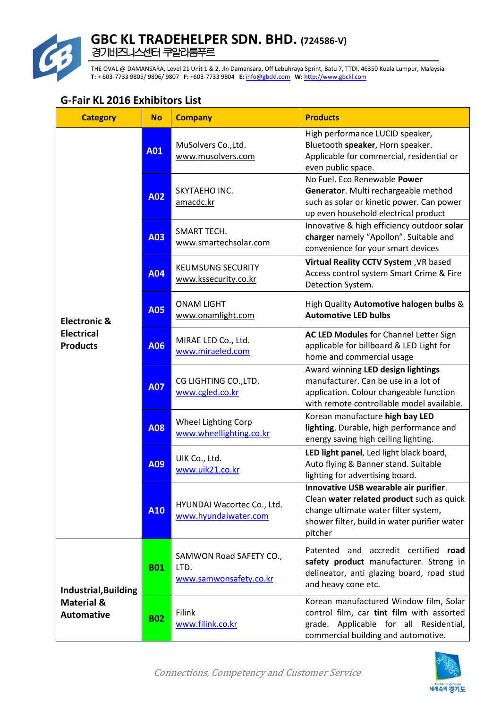

THE OVAL @ DAMANSARA, Level 21 Unit 1 & 2, Jln Damansara, Off Lebuhraya Sprint, Batu 7, TTDI, 46350 Kuala Lumpur, Malaysia **T:** + 603-7733 9805/ 9806/ 9807 **F:** +603-7733 9804 **E:** info@gbckl.com **W:** http://www.gbckl.com

| <b>Category</b>                                                           | <b>No</b>  | <b>Company</b>                                            | <b>Products</b>                                                                                                                                                                       |
|---------------------------------------------------------------------------|------------|-----------------------------------------------------------|---------------------------------------------------------------------------------------------------------------------------------------------------------------------------------------|
|                                                                           | A01        | MuSolvers Co., Ltd.<br>www.musolvers.com                  | High performance LUCID speaker,<br>Bluetooth speaker, Horn speaker.<br>Applicable for commercial, residential or<br>even public space.                                                |
|                                                                           | A02        | SKYTAEHO INC.<br>amacdc.kr                                | No Fuel. Eco Renewable Power<br>Generator. Multi rechargeable method<br>such as solar or kinetic power. Can power<br>up even household electrical product                             |
|                                                                           | A03        | <b>SMART TECH.</b><br>www.smartechsolar.com               | Innovative & high efficiency outdoor solar<br>charger namely "Apollon". Suitable and<br>convenience for your smart devices                                                            |
|                                                                           | A04        | <b>KEUMSUNG SECURITY</b><br>www.kssecurity.co.kr          | Virtual Reality CCTV System, VR based<br>Access control system Smart Crime & Fire<br>Detection System.                                                                                |
| <b>Electronic &amp;</b>                                                   | <b>A05</b> | <b>ONAM LIGHT</b><br>www.onamlight.com                    | High Quality Automotive halogen bulbs &<br><b>Automotive LED bulbs</b>                                                                                                                |
| <b>Electrical</b><br><b>Products</b>                                      | A06        | MIRAE LED Co., Ltd.<br>www.miraeled.com                   | AC LED Modules for Channel Letter Sign<br>applicable for billboard & LED Light for<br>home and commercial usage                                                                       |
|                                                                           | <b>A07</b> | CG LIGHTING CO., LTD.<br>www.cgled.co.kr                  | Award winning LED design lightings<br>manufacturer. Can be use in a lot of<br>application. Colour changeable function<br>with remote controllable model available.                    |
|                                                                           | A08        | Wheel Lighting Corp<br>www.wheellighting.co.kr            | Korean manufacture high bay LED<br>lighting. Durable, high performance and<br>energy saving high ceiling lighting.                                                                    |
|                                                                           | A09        | UIK Co., Ltd.<br>www.uik21.co.kr                          | LED light panel, Led light black board,<br>Auto flying & Banner stand. Suitable<br>lighting for advertising board.                                                                    |
|                                                                           | A10        | HYUNDAI Wacortec Co., Ltd.<br>www.hyundaiwater.com        | Innovative USB wearable air purifier.<br>Clean water related product such as quick<br>change ultimate water filter system,<br>shower filter, build in water purifier water<br>pitcher |
| <b>Industrial, Building</b><br><b>Material &amp;</b><br><b>Automative</b> | <b>B01</b> | SAMWON Road SAFETY CO.,<br>LTD.<br>www.samwonsafety.co.kr | Patented and accredit certified<br>road<br>safety product manufacturer. Strong in<br>delineator, anti glazing board, road stud<br>and heavy cone etc.                                 |
|                                                                           | <b>B02</b> | <b>Filink</b><br>www.filink.co.kr                         | Korean manufactured Window film, Solar<br>control film, car tint film with assorted<br>grade. Applicable for all Residential,<br>commercial building and automotive.                  |

#### **G-Fair KL 2016 Exhibitors List**

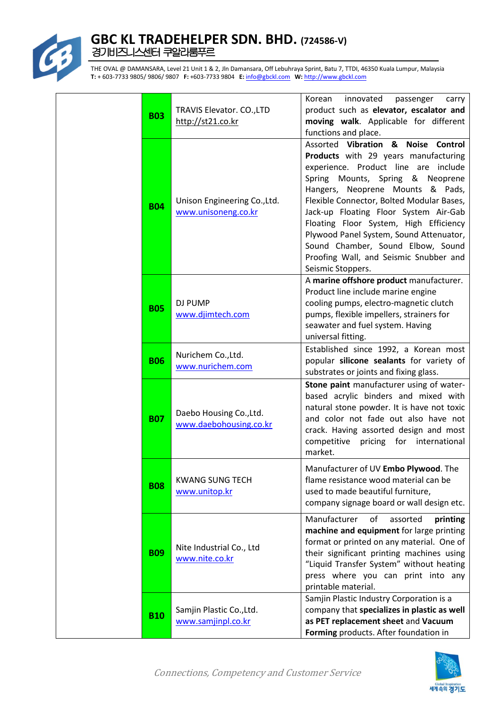

| <b>B03</b> | TRAVIS Elevator. CO., LTD<br>http://st21.co.kr      | Korean innovated<br>passenger<br>carry<br>product such as elevator, escalator and<br>moving walk. Applicable for different<br>functions and place.                                                                                                                                                                                                                                                                                                                        |
|------------|-----------------------------------------------------|---------------------------------------------------------------------------------------------------------------------------------------------------------------------------------------------------------------------------------------------------------------------------------------------------------------------------------------------------------------------------------------------------------------------------------------------------------------------------|
| <b>B04</b> | Unison Engineering Co., Ltd.<br>www.unisoneng.co.kr | Assorted Vibration & Noise Control<br>Products with 29 years manufacturing<br>experience. Product line are include<br>Spring Mounts, Spring & Neoprene<br>Hangers, Neoprene Mounts & Pads,<br>Flexible Connector, Bolted Modular Bases,<br>Jack-up Floating Floor System Air-Gab<br>Floating Floor System, High Efficiency<br>Plywood Panel System, Sound Attenuator,<br>Sound Chamber, Sound Elbow, Sound<br>Proofing Wall, and Seismic Snubber and<br>Seismic Stoppers. |
| <b>B05</b> | DJ PUMP<br>www.djimtech.com                         | A marine offshore product manufacturer.<br>Product line include marine engine<br>cooling pumps, electro-magnetic clutch<br>pumps, flexible impellers, strainers for<br>seawater and fuel system. Having<br>universal fitting.                                                                                                                                                                                                                                             |
| <b>B06</b> | Nurichem Co., Ltd.<br>www.nurichem.com              | Established since 1992, a Korean most<br>popular silicone sealants for variety of<br>substrates or joints and fixing glass.                                                                                                                                                                                                                                                                                                                                               |
| <b>B07</b> | Daebo Housing Co., Ltd.<br>www.daebohousing.co.kr   | Stone paint manufacturer using of water-<br>based acrylic binders and mixed with<br>natural stone powder. It is have not toxic<br>and color not fade out also have not<br>crack. Having assorted design and most<br>competitive pricing for international<br>market.                                                                                                                                                                                                      |
| <b>B08</b> | <b>KWANG SUNG TECH</b><br>www.unitop.kr             | Manufacturer of UV Embo Plywood. The<br>flame resistance wood material can be<br>used to made beautiful furniture,<br>company signage board or wall design etc.                                                                                                                                                                                                                                                                                                           |
| <b>B09</b> | Nite Industrial Co., Ltd<br>www.nite.co.kr          | Manufacturer<br>of<br>assorted<br>printing<br>machine and equipment for large printing<br>format or printed on any material. One of<br>their significant printing machines using<br>"Liquid Transfer System" without heating<br>press where you can print into any<br>printable material.                                                                                                                                                                                 |
| <b>B10</b> | Samjin Plastic Co., Ltd.<br>www.samjinpl.co.kr      | Samjin Plastic Industry Corporation is a<br>company that specializes in plastic as well<br>as PET replacement sheet and Vacuum<br>Forming products. After foundation in                                                                                                                                                                                                                                                                                                   |

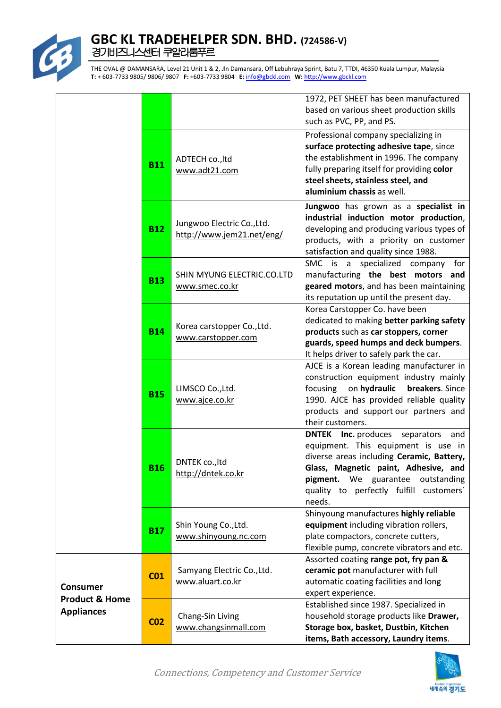

|                                                                   |                 |                                                         | 1972, PET SHEET has been manufactured<br>based on various sheet production skills<br>such as PVC, PP, and PS.                                                                                                                                                               |
|-------------------------------------------------------------------|-----------------|---------------------------------------------------------|-----------------------------------------------------------------------------------------------------------------------------------------------------------------------------------------------------------------------------------------------------------------------------|
|                                                                   | <b>B11</b>      | ADTECH co., ltd<br>www.adt21.com                        | Professional company specializing in<br>surface protecting adhesive tape, since<br>the establishment in 1996. The company<br>fully preparing itself for providing color<br>steel sheets, stainless steel, and<br>aluminium chassis as well.                                 |
|                                                                   | <b>B12</b>      | Jungwoo Electric Co., Ltd.<br>http://www.jem21.net/eng/ | Jungwoo has grown as a specialist in<br>industrial induction motor production,<br>developing and producing various types of<br>products, with a priority on customer<br>satisfaction and quality since 1988.                                                                |
|                                                                   | <b>B13</b>      | SHIN MYUNG ELECTRIC.CO.LTD<br>www.smec.co.kr            | specialized company for<br>SMC is a<br>manufacturing the best motors and<br>geared motors, and has been maintaining<br>its reputation up until the present day.                                                                                                             |
|                                                                   | <b>B14</b>      | Korea carstopper Co., Ltd.<br>www.carstopper.com        | Korea Carstopper Co. have been<br>dedicated to making better parking safety<br>products such as car stoppers, corner<br>guards, speed humps and deck bumpers.<br>It helps driver to safely park the car.                                                                    |
|                                                                   | <b>B15</b>      | LIMSCO Co., Ltd.<br>www.ajce.co.kr                      | AJCE is a Korean leading manufacturer in<br>construction equipment industry mainly<br>on hydraulic<br>focusing<br>breakers. Since<br>1990. AJCE has provided reliable quality<br>products and support our partners and<br>their customers.                                  |
|                                                                   | <b>B16</b>      | DNTEK co., ltd<br>http://dntek.co.kr                    | <b>DNTEK</b> Inc. produces<br>separators<br>and<br>equipment. This equipment is use in<br>diverse areas including Ceramic, Battery,<br>Glass, Magnetic paint, Adhesive, and<br>pigment.<br>We guarantee<br>outstanding<br>quality to perfectly fulfill customers'<br>needs. |
|                                                                   | <b>B17</b>      | Shin Young Co., Ltd.<br>www.shinyoung.nc.com            | Shinyoung manufactures highly reliable<br>equipment including vibration rollers,<br>plate compactors, concrete cutters,<br>flexible pump, concrete vibrators and etc.                                                                                                       |
| <b>Consumer</b><br><b>Product &amp; Home</b><br><b>Appliances</b> | CO <sub>1</sub> | Samyang Electric Co., Ltd.<br>www.aluart.co.kr          | Assorted coating range pot, fry pan &<br>ceramic pot manufacturer with full<br>automatic coating facilities and long<br>expert experience.                                                                                                                                  |
|                                                                   | CO <sub>2</sub> | Chang-Sin Living<br>www.changsinmall.com                | Established since 1987. Specialized in<br>household storage products like Drawer,<br>Storage box, basket, Dustbin, Kitchen<br>items, Bath accessory, Laundry items.                                                                                                         |

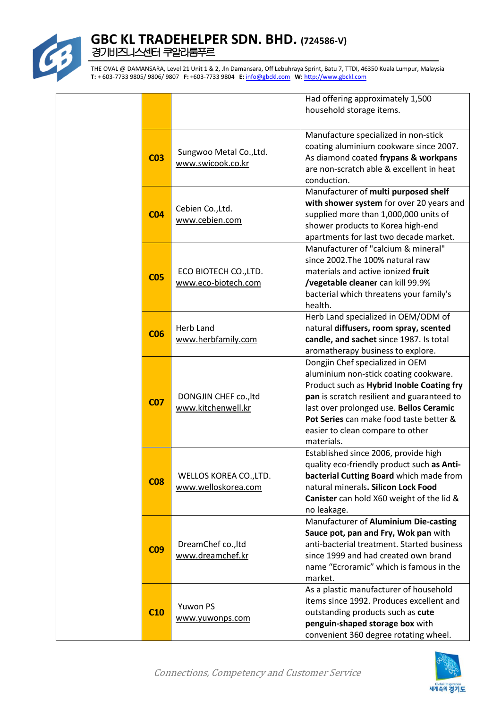

|                 |                                               | Had offering approximately 1,500<br>household storage items.                                                                                                                                                                                                                                                |
|-----------------|-----------------------------------------------|-------------------------------------------------------------------------------------------------------------------------------------------------------------------------------------------------------------------------------------------------------------------------------------------------------------|
| CO <sub>3</sub> | Sungwoo Metal Co., Ltd.<br>www.swicook.co.kr  | Manufacture specialized in non-stick<br>coating aluminium cookware since 2007.<br>As diamond coated frypans & workpans<br>are non-scratch able & excellent in heat<br>conduction.                                                                                                                           |
| CO <sub>4</sub> | Cebien Co., Ltd.<br>www.cebien.com            | Manufacturer of multi purposed shelf<br>with shower system for over 20 years and<br>supplied more than 1,000,000 units of<br>shower products to Korea high-end<br>apartments for last two decade market.                                                                                                    |
| CO <sub>5</sub> | ECO BIOTECH CO., LTD.<br>www.eco-biotech.com  | Manufacturer of "calcium & mineral"<br>since 2002. The 100% natural raw<br>materials and active ionized fruit<br>/vegetable cleaner can kill 99.9%<br>bacterial which threatens your family's<br>health.                                                                                                    |
| <b>CO6</b>      | <b>Herb Land</b><br>www.herbfamily.com        | Herb Land specialized in OEM/ODM of<br>natural diffusers, room spray, scented<br>candle, and sachet since 1987. Is total<br>aromatherapy business to explore.                                                                                                                                               |
| CO <sub>7</sub> | DONGJIN CHEF co., ltd<br>www.kitchenwell.kr   | Dongjin Chef specialized in OEM<br>aluminium non-stick coating cookware.<br>Product such as Hybrid Inoble Coating fry<br>pan is scratch resilient and guaranteed to<br>last over prolonged use. Bellos Ceramic<br>Pot Series can make food taste better &<br>easier to clean compare to other<br>materials. |
| <b>CO8</b>      | WELLOS KOREA CO., LTD.<br>www.welloskorea.com | Established since 2006, provide high<br>quality eco-friendly product such as Anti-<br>bacterial Cutting Board which made from<br>natural minerals. Silicon Lock Food<br>Canister can hold X60 weight of the lid &<br>no leakage.                                                                            |
| <b>CO9</b>      | DreamChef co., ltd<br>www.dreamchef.kr        | Manufacturer of Aluminium Die-casting<br>Sauce pot, pan and Fry, Wok pan with<br>anti-bacterial treatment. Started business<br>since 1999 and had created own brand<br>name "Ecroramic" which is famous in the<br>market.                                                                                   |
| C10             | Yuwon PS<br>www.yuwonps.com                   | As a plastic manufacturer of household<br>items since 1992. Produces excellent and<br>outstanding products such as cute<br>penguin-shaped storage box with<br>convenient 360 degree rotating wheel.                                                                                                         |

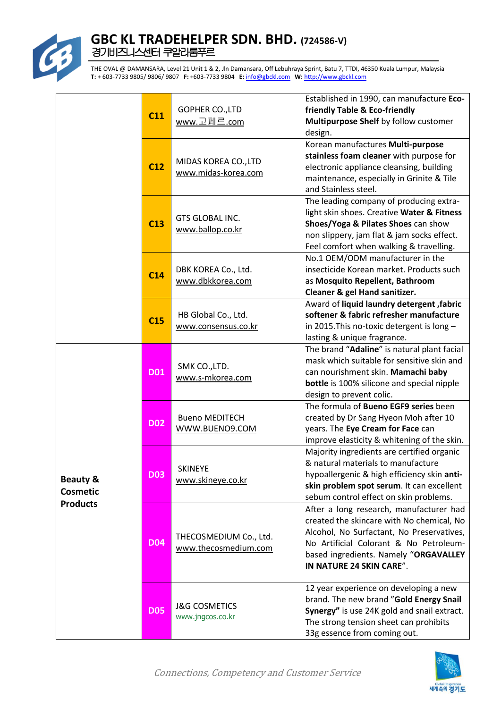

|                                                           | C11        | GOPHER CO., LTD<br>www.고페르.com                 | Established in 1990, can manufacture Eco-<br>friendly Table & Eco-friendly<br>Multipurpose Shelf by follow customer<br>design.                                                                                                                   |
|-----------------------------------------------------------|------------|------------------------------------------------|--------------------------------------------------------------------------------------------------------------------------------------------------------------------------------------------------------------------------------------------------|
|                                                           | C12        | MIDAS KOREA CO., LTD<br>www.midas-korea.com    | Korean manufactures Multi-purpose<br>stainless foam cleaner with purpose for<br>electronic appliance cleansing, building<br>maintenance, especially in Grinite & Tile<br>and Stainless steel.                                                    |
|                                                           | C13        | GTS GLOBAL INC.<br>www.ballop.co.kr            | The leading company of producing extra-<br>light skin shoes. Creative Water & Fitness<br>Shoes/Yoga & Pilates Shoes can show<br>non slippery, jam flat & jam socks effect.<br>Feel comfort when walking & travelling.                            |
|                                                           | C14        | DBK KOREA Co., Ltd.<br>www.dbkkorea.com        | No.1 OEM/ODM manufacturer in the<br>insecticide Korean market. Products such<br>as Mosquito Repellent, Bathroom<br>Cleaner & gel Hand sanitizer.                                                                                                 |
|                                                           | C15        | HB Global Co., Ltd.<br>www.consensus.co.kr     | Award of liquid laundry detergent, fabric<br>softener & fabric refresher manufacture<br>in 2015. This no-toxic detergent is long -<br>lasting & unique fragrance.                                                                                |
| <b>Beauty &amp;</b><br><b>Cosmetic</b><br><b>Products</b> | D01        | SMK CO., LTD.<br>www.s-mkorea.com              | The brand "Adaline" is natural plant facial<br>mask which suitable for sensitive skin and<br>can nourishment skin. Mamachi baby<br><b>bottle</b> is 100% silicone and special nipple<br>design to prevent colic.                                 |
|                                                           | <b>D02</b> | <b>Bueno MEDITECH</b><br>WWW.BUENO9.COM        | The formula of Bueno EGF9 series been<br>created by Dr Sang Hyeon Moh after 10<br>years. The Eye Cream for Face can<br>improve elasticity & whitening of the skin.                                                                               |
|                                                           | <b>D03</b> | <b>SKINEYE</b><br>www.skineye.co.kr            | Majority ingredients are certified organic<br>& natural materials to manufacture<br>hypoallergenic & high efficiency skin anti-<br>skin problem spot serum. It can excellent<br>sebum control effect on skin problems.                           |
|                                                           | <b>D04</b> | THECOSMEDIUM Co., Ltd.<br>www.thecosmedium.com | After a long research, manufacturer had<br>created the skincare with No chemical, No<br>Alcohol, No Surfactant, No Preservatives,<br>No Artificial Colorant & No Petroleum-<br>based ingredients. Namely "ORGAVALLEY<br>IN NATURE 24 SKIN CARE". |
|                                                           | <b>D05</b> | <b>J&amp;G COSMETICS</b><br>www.jngcos.co.kr   | 12 year experience on developing a new<br>brand. The new brand "Gold Energy Snail<br>Synergy" is use 24K gold and snail extract.<br>The strong tension sheet can prohibits<br>33g essence from coming out.                                       |

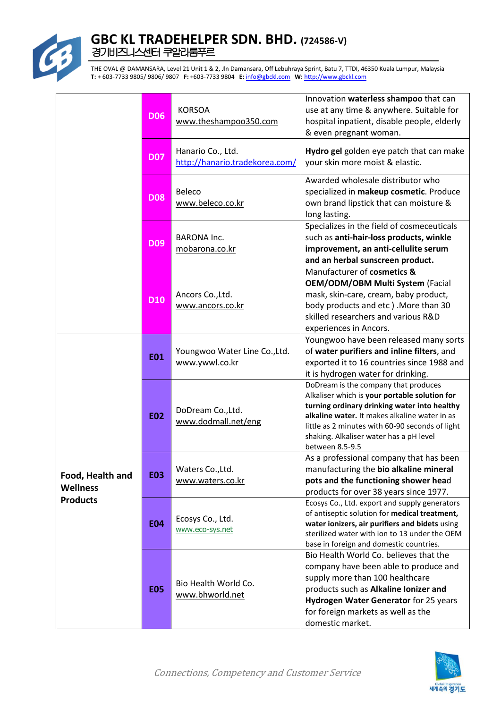

|                                                        | <b>D06</b> | <b>KORSOA</b><br>www.theshampoo350.com              | Innovation waterless shampoo that can<br>use at any time & anywhere. Suitable for<br>hospital inpatient, disable people, elderly<br>& even pregnant woman.                                                                                                                                              |
|--------------------------------------------------------|------------|-----------------------------------------------------|---------------------------------------------------------------------------------------------------------------------------------------------------------------------------------------------------------------------------------------------------------------------------------------------------------|
|                                                        | <b>D07</b> | Hanario Co., Ltd.<br>http://hanario.tradekorea.com/ | Hydro gel golden eye patch that can make<br>your skin more moist & elastic.                                                                                                                                                                                                                             |
|                                                        | <b>D08</b> | Beleco<br>www.beleco.co.kr                          | Awarded wholesale distributor who<br>specialized in makeup cosmetic. Produce<br>own brand lipstick that can moisture &<br>long lasting.                                                                                                                                                                 |
|                                                        | <b>D09</b> | <b>BARONA Inc.</b><br>mobarona.co.kr                | Specializes in the field of cosmeceuticals<br>such as anti-hair-loss products, winkle<br>improvement, an anti-cellulite serum<br>and an herbal sunscreen product.                                                                                                                                       |
|                                                        | <b>D10</b> | Ancors Co., Ltd.<br>www.ancors.co.kr                | Manufacturer of cosmetics &<br><b>OEM/ODM/OBM Multi System (Facial</b><br>mask, skin-care, cream, baby product,<br>body products and etc). More than 30<br>skilled researchers and various R&D<br>experiences in Ancors.                                                                                |
|                                                        | <b>E01</b> | Youngwoo Water Line Co., Ltd.<br>www.ywwl.co.kr     | Youngwoo have been released many sorts<br>of water purifiers and inline filters, and<br>exported it to 16 countries since 1988 and<br>it is hydrogen water for drinking.                                                                                                                                |
| Food, Health and<br><b>Wellness</b><br><b>Products</b> | <b>E02</b> | DoDream Co., Ltd.<br>www.dodmall.net/eng            | DoDream is the company that produces<br>Alkaliser which is your portable solution for<br>turning ordinary drinking water into healthy<br>alkaline water. It makes alkaline water in as<br>little as 2 minutes with 60-90 seconds of light<br>shaking. Alkaliser water has a pH level<br>between 8.5-9.5 |
|                                                        | <b>E03</b> | Waters Co., Ltd.<br>www.waters.co.kr                | As a professional company that has been<br>manufacturing the bio alkaline mineral<br>pots and the functioning shower head<br>products for over 38 years since 1977.                                                                                                                                     |
|                                                        | <b>E04</b> | Ecosys Co., Ltd.<br>www.eco-sys.net                 | Ecosys Co., Ltd. export and supply generators<br>of antiseptic solution for medical treatment,<br>water ionizers, air purifiers and bidets using<br>sterilized water with ion to 13 under the OEM<br>base in foreign and domestic countries.                                                            |
|                                                        | <b>E05</b> | Bio Health World Co.<br>www.bhworld.net             | Bio Health World Co. believes that the<br>company have been able to produce and<br>supply more than 100 healthcare<br>products such as Alkaline Ionizer and<br>Hydrogen Water Generator for 25 years<br>for foreign markets as well as the<br>domestic market.                                          |

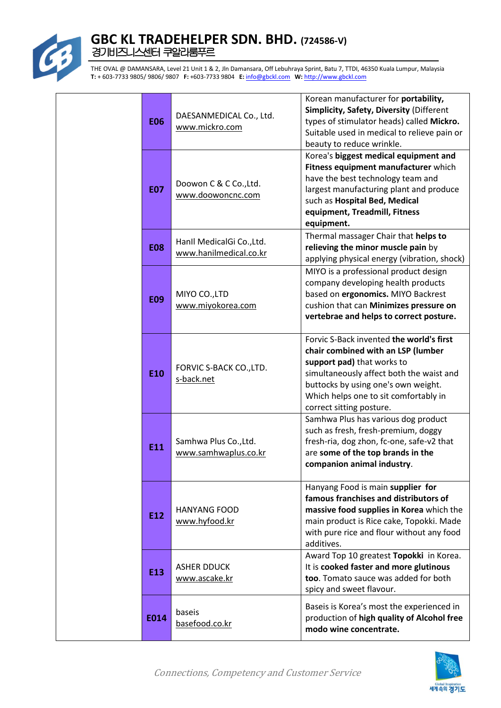

| <b>E06</b> | DAESANMEDICAL Co., Ltd.<br>www.mickro.com           | Korean manufacturer for portability,<br>Simplicity, Safety, Diversity (Different<br>types of stimulator heads) called Mickro.<br>Suitable used in medical to relieve pain or<br>beauty to reduce wrinkle.                                                            |
|------------|-----------------------------------------------------|----------------------------------------------------------------------------------------------------------------------------------------------------------------------------------------------------------------------------------------------------------------------|
| <b>E07</b> | Doowon C & C Co., Ltd.<br>www.doowoncnc.com         | Korea's biggest medical equipment and<br>Fitness equipment manufacturer which<br>have the best technology team and<br>largest manufacturing plant and produce<br>such as Hospital Bed, Medical<br>equipment, Treadmill, Fitness<br>equipment.                        |
| <b>E08</b> | Hanll MedicalGi Co., Ltd.<br>www.hanilmedical.co.kr | Thermal massager Chair that helps to<br>relieving the minor muscle pain by<br>applying physical energy (vibration, shock)                                                                                                                                            |
| <b>E09</b> | MIYO CO., LTD<br>www.miyokorea.com                  | MIYO is a professional product design<br>company developing health products<br>based on ergonomics. MIYO Backrest<br>cushion that can Minimizes pressure on<br>vertebrae and helps to correct posture.                                                               |
| E10        | FORVIC S-BACK CO., LTD.<br>s-back.net               | Forvic S-Back invented the world's first<br>chair combined with an LSP (lumber<br>support pad) that works to<br>simultaneously affect both the waist and<br>buttocks by using one's own weight.<br>Which helps one to sit comfortably in<br>correct sitting posture. |
| E11        | Samhwa Plus Co., Ltd.<br>www.samhwaplus.co.kr       | Samhwa Plus has various dog product<br>such as fresh, fresh-premium, doggy<br>fresh-ria, dog zhon, fc-one, safe-v2 that<br>are some of the top brands in the<br>companion animal industry.                                                                           |
| E12        | <b>HANYANG FOOD</b><br>www.hyfood.kr                | Hanyang Food is main supplier for<br>famous franchises and distributors of<br>massive food supplies in Korea which the<br>main product is Rice cake, Topokki. Made<br>with pure rice and flour without any food<br>additives.                                        |
| E13        | <b>ASHER DDUCK</b><br>www.ascake.kr                 | Award Top 10 greatest Topokki in Korea.<br>It is cooked faster and more glutinous<br>too. Tomato sauce was added for both<br>spicy and sweet flavour.                                                                                                                |
| E014       | baseis<br>basefood.co.kr                            | Baseis is Korea's most the experienced in<br>production of high quality of Alcohol free<br>modo wine concentrate.                                                                                                                                                    |